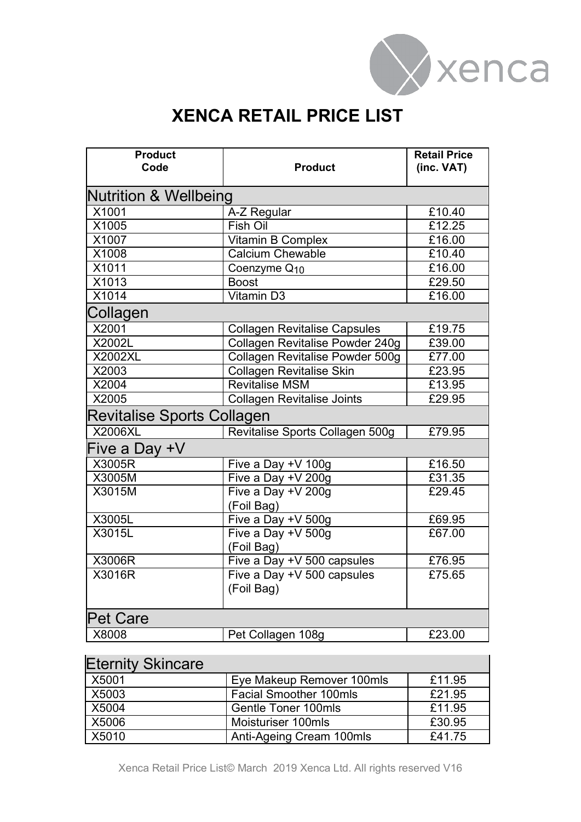

## **XENCA RETAIL PRICE LIST**

| <b>Product</b><br>Code           | <b>Product</b>                         | <b>Retail Price</b><br>(inc. VAT) |  |  |
|----------------------------------|----------------------------------------|-----------------------------------|--|--|
|                                  |                                        |                                   |  |  |
| <b>Nutrition &amp; Wellbeing</b> |                                        |                                   |  |  |
| X1001                            | A-Z Regular                            | £10.40                            |  |  |
| X1005                            | Fish Oil                               | E12.25                            |  |  |
| X1007                            | Vitamin B Complex                      | £16.00                            |  |  |
| X1008                            | Calcium Chewable                       | £10.40                            |  |  |
| X1011                            | Coenzyme Q <sub>10</sub>               | £16.00                            |  |  |
| X1013                            | <b>Boost</b>                           | £29.50                            |  |  |
| X1014                            | <b>Vitamin D3</b>                      | £16.00                            |  |  |
| Collagen                         |                                        |                                   |  |  |
| X2001                            | <b>Collagen Revitalise Capsules</b>    | £19.75                            |  |  |
| X2002L                           | <b>Collagen Revitalise Powder 240g</b> | £39.00                            |  |  |
| <b>X2002XL</b>                   | <b>Collagen Revitalise Powder 500g</b> | £77.00                            |  |  |
| X2003                            | <b>Collagen Revitalise Skin</b>        | £23.95                            |  |  |
| X2004                            | <b>Revitalise MSM</b>                  | £13.95                            |  |  |
| X2005                            | <b>Collagen Revitalise Joints</b>      | £29.95                            |  |  |
| Revitalise Sports Collagen       |                                        |                                   |  |  |
| X2006XL                          | Revitalise Sports Collagen 500g        | £79.95                            |  |  |
| Five a Day +V                    |                                        |                                   |  |  |
| X3005R                           | Five a Day +V 100g                     | £16.50                            |  |  |
| X3005M                           | Five a Day +V 200g                     | £31.35                            |  |  |
| X3015M                           | Five a Day +V 200g                     | £29.45                            |  |  |
|                                  | (Foil Bag)                             |                                   |  |  |
| X3005L                           | Five a Day +V 500g                     | £69.95                            |  |  |
| X3015L                           | Five a Day + $V$ 500g                  | £67.00                            |  |  |
|                                  | (Foil Bag)                             |                                   |  |  |
| X3006R                           | Five a Day +V 500 capsules             | £76.95                            |  |  |
| <b>X3016R</b>                    | Five a Day +V 500 capsules             | £75.65                            |  |  |
|                                  | (Foil Bag)                             |                                   |  |  |
| <b>Pet Care</b>                  |                                        |                                   |  |  |
| X8008                            | Pet Collagen 108g                      | £23.00                            |  |  |
|                                  |                                        |                                   |  |  |

## Eternity Skincare

| X5001 | Eye Makeup Remover 100mls     | £11.95 |
|-------|-------------------------------|--------|
| X5003 | <b>Facial Smoother 100mls</b> | £21.95 |
| X5004 | <b>Gentle Toner 100mls</b>    | £11.95 |
| X5006 | Moisturiser 100mls            | £30.95 |
| X5010 | Anti-Ageing Cream 100mls      | £41.75 |

Xenca Retail Price List© March 2019 Xenca Ltd. All rights reserved V16